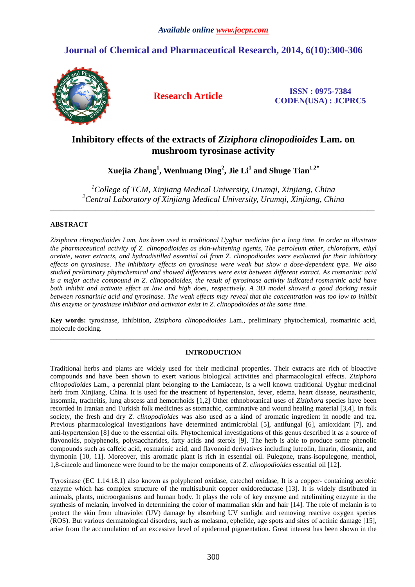# **Journal of Chemical and Pharmaceutical Research, 2014, 6(10):300-306**



**Research Article ISSN : 0975-7384 CODEN(USA) : JCPRC5**

# **Inhibitory effects of the extracts of** *Ziziphora clinopodioides* **Lam. on mushroom tyrosinase activity**

**Xuejia Zhang<sup>1</sup> , Wenhuang Ding<sup>2</sup> , Jie Li<sup>1</sup> and Shuge Tian1,2\*** 

*<sup>1</sup>College of TCM, Xinjiang Medical University, Urumqi, Xinjiang, China <sup>2</sup>Central Laboratory of Xinjiang Medical University, Urumqi, Xinjiang, China*  \_\_\_\_\_\_\_\_\_\_\_\_\_\_\_\_\_\_\_\_\_\_\_\_\_\_\_\_\_\_\_\_\_\_\_\_\_\_\_\_\_\_\_\_\_\_\_\_\_\_\_\_\_\_\_\_\_\_\_\_\_\_\_\_\_\_\_\_\_\_\_\_\_\_\_\_\_\_\_\_\_\_\_\_\_\_\_\_\_\_\_\_\_

## **ABSTRACT**

*Ziziphora clinopodioides Lam. has been used in traditional Uyghur medicine for a long time. In order to illustrate the pharmaceutical activity of Z. clinopodioides as skin-whitening agents, The petroleum ether, chloroform, ethyl acetate, water extracts, and hydrodistilled essential oil from Z. clinopodioides were evaluated for their inhibitory effects on tyrosinase. The inhibitory effects on tyrosinase were weak but show a dose-dependent type. We also studied preliminary phytochemical and showed differences were exist between different extract. As rosmarinic acid is a major active compound in Z. clinopodioides, the result of tyrosinase activity indicated rosmarinic acid have both inhibit and activate effect at low and high does, respectively. A 3D model showed a good docking result between rosmarinic acid and tyrosinase. The weak effects may reveal that the concentration was too low to inhibit this enzyme or tyrosinase inhibitor and activator exist in Z. clinopodioides at the same time.* 

**Key words:** tyrosinase, inhibition, *Ziziphora clinopodioides* Lam., preliminary phytochemical, rosmarinic acid, molecule docking. \_\_\_\_\_\_\_\_\_\_\_\_\_\_\_\_\_\_\_\_\_\_\_\_\_\_\_\_\_\_\_\_\_\_\_\_\_\_\_\_\_\_\_\_\_\_\_\_\_\_\_\_\_\_\_\_\_\_\_\_\_\_\_\_\_\_\_\_\_\_\_\_\_\_\_\_\_\_\_\_\_\_\_\_\_\_\_\_\_\_\_\_\_

## **INTRODUCTION**

Traditional herbs and plants are widely used for their medicinal properties. Their extracts are rich of bioactive compounds and have been shown to exert various biological activities and pharmacological effects. *Ziziphora clinopodioides* Lam., a perennial plant belonging to the Lamiaceae, is a well known traditional Uyghur medicinal herb from Xinjiang, China. It is used for the treatment of hypertension, fever, edema, heart disease, neurasthenic, insomnia, tracheitis, lung abscess and hemorrhoids [1,2] Other ethnobotanical uses of *Ziziphora* species have been recorded in Iranian and Turkish folk medicines as stomachic, carminative and wound healing material [3,4]. In folk society, the fresh and dry *Z. clinopodioides* was also used as a kind of aromatic ingredient in noodle and tea. Previous pharmacological investigations have determined antimicrobial [5], antifungal [6], antioxidant [7], and anti-hypertension [8] due to the essential oils. Phytochemical investigations of this genus described it as a source of flavonoids, polyphenols, polysaccharides, fatty acids and sterols [9]. The herb is able to produce some phenolic compounds such as caffeic acid, rosmarinic acid, and flavonoid derivatives including luteolin, linarin, diosmin, and thymonin [10, 11]. Moreover, this aromatic plant is rich in essential oil. Pulegone, trans-isopulegone, menthol, 1,8-cineole and limonene were found to be the major components of *Z. clinopodioides* essential oil [12].

Tyrosinase (EC 1.14.18.1) also known as polyphenol oxidase, catechol oxidase, It is a copper- containing aerobic enzyme which has complex structure of the multisubunit copper oxidoreductase [13]. It is widely distributed in animals, plants, microorganisms and human body. It plays the role of key enzyme and ratelimiting enzyme in the synthesis of melanin, involved in determining the color of mammalian skin and hair [14]. The role of melanin is to protect the skin from ultraviolet (UV) damage by absorbing UV sunlight and removing reactive oxygen species (ROS). But various dermatological disorders, such as melasma, ephelide, age spots and sites of actinic damage [15], arise from the accumulation of an excessive level of epidermal pigmentation. Great interest has been shown in the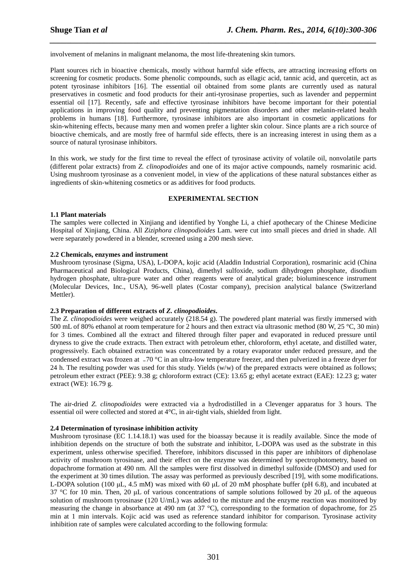involvement of melanins in malignant melanoma, the most life-threatening skin tumors.

Plant sources rich in bioactive chemicals, mostly without harmful side effects, are attracting increasing efforts on screening for cosmetic products. Some phenolic compounds, such as ellagic acid, tannic acid, and quercetin, act as potent tyrosinase inhibitors [16]. The essential oil obtained from some plants are currently used as natural preservatives in cosmetic and food products for their anti-tyrosinase properties, such as lavender and peppermint essential oil [17]. Recently, safe and effective tyrosinase inhibitors have become important for their potential applications in improving food quality and preventing pigmentation disorders and other melanin-related health problems in humans [18]. Furthermore, tyrosinase inhibitors are also important in cosmetic applications for skin-whitening effects, because many men and women prefer a lighter skin colour. Since plants are a rich source of bioactive chemicals, and are mostly free of harmful side effects, there is an increasing interest in using them as a source of natural tyrosinase inhibitors.

*\_\_\_\_\_\_\_\_\_\_\_\_\_\_\_\_\_\_\_\_\_\_\_\_\_\_\_\_\_\_\_\_\_\_\_\_\_\_\_\_\_\_\_\_\_\_\_\_\_\_\_\_\_\_\_\_\_\_\_\_\_\_\_\_\_\_\_\_\_\_\_\_\_\_\_\_\_\_*

In this work, we study for the first time to reveal the effect of tyrosinase activity of volatile oil, nonvolatile parts (different polar extracts) from *Z. clinopodioides* and one of its major active compounds, namely rosmarinic acid. Using mushroom tyrosinase as a convenient model, in view of the applications of these natural substances either as ingredients of skin-whitening cosmetics or as additives for food products.

### **EXPERIMENTAL SECTION**

#### **1.1 Plant materials**

The samples were collected in Xinjiang and identified by Yonghe Li, a chief apothecary of the Chinese Medicine Hospital of Xinjiang, China. All *Ziziphora clinopodioides* Lam. were cut into small pieces and dried in shade. All were separately powdered in a blender, screened using a 200 mesh sieve.

### **2.2 Chemicals, enzymes and instrument**

Mushroom tyrosinase (Sigma, USA), L-DOPA, kojic acid (Aladdin Industrial Corporation), rosmarinic acid (China Pharmaceutical and Biological Products, China), dimethyl sulfoxide, sodium dihydrogen phosphate, disodium hydrogen phosphate, ultra-pure water and other reagents were of analytical grade; bioluminescence instrument (Molecular Devices, Inc., USA), 96-well plates (Costar company), precision analytical balance (Switzerland Mettler).

### **2.3 Preparation of different extracts of** *Z. clinopodioides***.**

The *Z. clinopodioides* were weighed accurately (218.54 g). The powdered plant material was firstly immersed with 500 mL of 80% ethanol at room temperature for 2 hours and then extract via ultrasonic method (80 W, 25 °C, 30 min) for 3 times. Combined all the extract and filtered through filter paper and evaporated in reduced pressure until dryness to give the crude extracts. Then extract with petroleum ether, chloroform, ethyl acetate, and distilled water, progressively. Each obtained extraction was concentrated by a rotary evaporator under reduced pressure, and the condensed extract was frozen at −70 °C in an ultra-low temperature freezer, and then pulverized in a freeze dryer for 24 h. The resulting powder was used for this study. Yields (w/w) of the prepared extracts were obtained as follows; petroleum ether extract (PEE): 9.38 g; chloroform extract (CE): 13.65 g; ethyl acetate extract (EAE): 12.23 g; water extract (WE): 16.79 g.

The air-dried *Z. clinopodioides* were extracted via a hydrodistilled in a Clevenger apparatus for 3 hours. The essential oil were collected and stored at 4°C, in air-tight vials, shielded from light.

### **2.4 Determination of tyrosinase inhibition activity**

Mushroom tyrosinase (EC 1.14.18.1) was used for the bioassay because it is readily available. Since the mode of inhibition depends on the structure of both the substrate and inhibitor, L-DOPA was used as the substrate in this experiment, unless otherwise specified. Therefore, inhibitors discussed in this paper are inhibitors of diphenolase activity of mushroom tyrosinase, and their effect on the enzyme was determined by spectrophotometry, based on dopachrome formation at 490 nm. All the samples were first dissolved in dimethyl sulfoxide (DMSO) and used for the experiment at 30 times dilution. The assay was performed as previously described [19], with some modifications. L-DOPA solution (100 µL, 4.5 mM) was mixed with 60 µL of 20 mM phosphate buffer (pH 6.8), and incubated at 37 °C for 10 min. Then, 20 µL of various concentrations of sample solutions followed by 20 µL of the aqueous solution of mushroom tyrosinase (120 U/mL) was added to the mixture and the enzyme reaction was monitored by measuring the change in absorbance at 490 nm (at 37 °C), corresponding to the formation of dopachrome, for 25 min at 1 min intervals. Kojic acid was used as reference standard inhibitor for comparison. Tyrosinase activity inhibition rate of samples were calculated according to the following formula: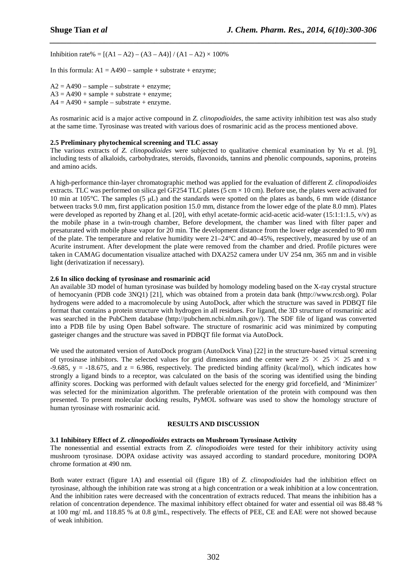Inhibition rate% =  $[(A1 - A2) - (A3 - A4)] / (A1 - A2) \times 100\%$ 

In this formula:  $A1 = A490 - sample + substrate + enzyme$ ;

 $A2 = A490 - sample - substrate + enzyme;$  $A3 = A490 + sample + substance + enzyme;$  $A4 = A490 + sample - substrate + enzyme.$ 

As rosmarinic acid is a major active compound in *Z. clinopodioides*, the same activity inhibition test was also study at the same time. Tyrosinase was treated with various does of rosmarinic acid as the process mentioned above.

*\_\_\_\_\_\_\_\_\_\_\_\_\_\_\_\_\_\_\_\_\_\_\_\_\_\_\_\_\_\_\_\_\_\_\_\_\_\_\_\_\_\_\_\_\_\_\_\_\_\_\_\_\_\_\_\_\_\_\_\_\_\_\_\_\_\_\_\_\_\_\_\_\_\_\_\_\_\_*

#### **2.5 Preliminary phytochemical screening and TLC assay**

The various extracts of *Z. clinopodioides* were subjected to qualitative chemical examination by Yu et al. [9], including tests of alkaloids, carbohydrates, steroids, flavonoids, tannins and phenolic compounds, saponins, proteins and amino acids.

A high-performance thin-layer chromatographic method was applied for the evaluation of different *Z. clinopodioides* extracts. TLC was performed on silica gel GF254 TLC plates (5 cm  $\times$  10 cm). Before use, the plates were activated for 10 min at 105°C. The samples (5 µL) and the standards were spotted on the plates as bands, 6 mm wide (distance between tracks 9.0 mm, first application position 15.0 mm, distance from the lower edge of the plate 8.0 mm). Plates were developed as reported by Zhang et al. [20], with ethyl acetate-formic acid-acetic acid-water (15:1:1:1.5, v/v) as the mobile phase in a twin-trough chamber, Before development, the chamber was lined with filter paper and presaturated with mobile phase vapor for 20 min. The development distance from the lower edge ascended to 90 mm of the plate. The temperature and relative humidity were  $21-24^{\circ}$ C and  $40-45\%$ , respectively, measured by use of an Acurite instrument. After development the plate were removed from the chamber and dried. Profile pictures were taken in CAMAG documentation visualize attached with DXA252 camera under UV 254 nm, 365 nm and in visible light (derivatization if necessary).

#### **2.6 In silico docking of tyrosinase and rosmarinic acid**

An available 3D model of human tyrosinase was builded by homology modeling based on the X-ray crystal structure of hemocyanin (PDB code 3NQ1) [21], which was obtained from a protein data bank (http://www.rcsb.org). Polar hydrogens were added to a macromolecule by using AutoDock, after which the structure was saved in PDBQT file format that contains a protein structure with hydrogen in all residues. For ligand, the 3D structure of rosmarinic acid was searched in the PubChem database (http://pubchem.ncbi.nlm.nih.gov/). The SDF file of ligand was converted into a PDB file by using Open Babel software. The structure of rosmarinic acid was minimized by computing gasteiger changes and the structure was saved in PDBQT file format via AutoDock.

We used the automated version of AutoDock program (AutoDock Vina) [22] in the structure-based virtual screening of tyrosinase inhibitors. The selected values for grid dimensions and the center were  $25 \times 25 \times 25$  and x =  $-9.685$ , y =  $-18.675$ , and z = 6.986, respectively. The predicted binding affinity (kcal/mol), which indicates how strongly a ligand binds to a receptor, was calculated on the basis of the scoring was identified using the binding affinity scores. Docking was performed with default values selected for the energy grid forcefield, and 'Minimizer' was selected for the minimization algorithm. The preferable orientation of the protein with compound was then presented. To present molecular docking results, PyMOL software was used to show the homology structure of human tyrosinase with rosmarinic acid.

#### **RESULTS AND DISCUSSION**

#### **3.1 Inhibitory Effect of** *Z. clinopodioides* **extracts on Mushroom Tyrosinase Activity**

The nonessential and essential extracts from *Z. clinopodioides* were tested for their inhibitory activity using mushroom tyrosinase. DOPA oxidase activity was assayed according to standard procedure, monitoring DOPA chrome formation at 490 nm.

Both water extract (figure 1A) and essential oil (figure 1B) of *Z. clinopodioides* had the inhibition effect on tyrosinase, although the inhibition rate was strong at a high concentration or a weak inhibition at a low concentration. And the inhibition rates were decreased with the concentration of extracts reduced. That means the inhibition has a relation of concentration dependence. The maximal inhibitory effect obtained for water and essential oil was 88.48 % at 100 mg/ mL and 118.85 % at 0.8 g/mL, respectively. The effects of PEE, CE and EAE were not showed because of weak inhibition.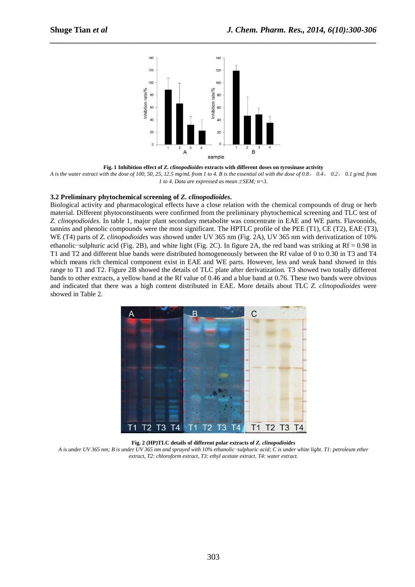

*\_\_\_\_\_\_\_\_\_\_\_\_\_\_\_\_\_\_\_\_\_\_\_\_\_\_\_\_\_\_\_\_\_\_\_\_\_\_\_\_\_\_\_\_\_\_\_\_\_\_\_\_\_\_\_\_\_\_\_\_\_\_\_\_\_\_\_\_\_\_\_\_\_\_\_\_\_\_*

**Fig. 1 Inhibition effect of**  *Z. clinopodioides* **extracts with different doses on tyrosinase tyrosinase activity**

*A is the water extract with the dose of 100, 50 50, 25, 12.5 mg/mL from 1 to 4. B is the essential oil with the dose of 0.8* , *0.4*, *0.2*, *0.1 g/mL from 1 to 4. Data are expressed as mean*±*SEM; n=3.* 

#### **3.2 Preliminary phytochemical screening of reliminary** *Z. clinopodioides***.**

Biological activity and pharmacological effects have a close relation with the chemical compounds of drug or herb material. Different phytoconstituents were confirmed from the preliminary phytochemical screening and TLC test of Z. clinopodioides. In table 1, major plant secondary metabolite was concentrate in EAE and WE parts. Flavonoids, tannins and phenolic compounds were the most significant. The HPTLC profile of the PEE  $(T1)$ , CE  $(T2)$ , EAE  $(T3)$ , WE (T4) parts of *Z. clinopodioides* was showed under UV 365 nm (Fig. 2A), UV 365 nm with derivatization of 10% ethanolic-sulphuric acid (Fig. 2B), and white light (Fig. 2C). In figure 2A, the red band was striking at Rf = 0.98 in T1 and T2 and different blue bands were distributed homogeneously between the Rf value of 0 to 0. 0.30 in T3 and T4 which means rich chemical component exist in EAE and WE parts. However, less and weak band showed in this range to T1 and T2. Figure 2B showed the details of TLC plate after derivatization. T3 showed two totally different bands to other extracts, a yellow band at the Rf value of 0.46 and a blue band at 0.76. These two bands were obvious and indicated that there was a high content distributed in EAE. More details about TLC Z. *clinopodioides* were showed in Table 2.



**Fig. 2 (HP) (HP)TLC details of different polar extracts of** *Z. clinopodioides*

A is under UV 365 nm; B is under UV 365 nm and sprayed with 10% ethanolic–sulphuric acid; C is under white light. T1: petroleum ether extract, T2: chloroform extract, T3: ethyl acetate extract, T4: water extract.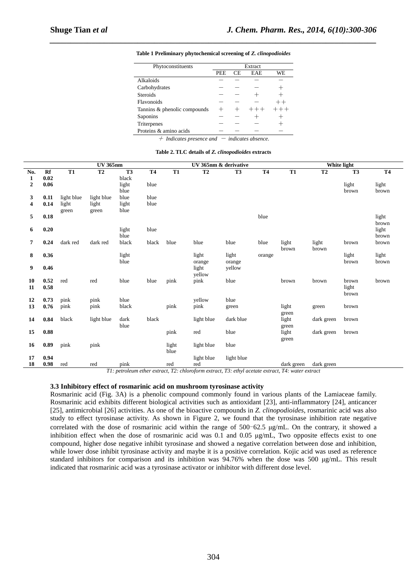| Phytoconstituents                                                                                                       | Extract    |     |            |       |  |  |  |  |
|-------------------------------------------------------------------------------------------------------------------------|------------|-----|------------|-------|--|--|--|--|
|                                                                                                                         | <b>PEE</b> | CE. | <b>EAE</b> | WE    |  |  |  |  |
| Alkaloids                                                                                                               |            |     |            |       |  |  |  |  |
| Carbohydrates                                                                                                           |            |     |            |       |  |  |  |  |
| <b>Steroids</b>                                                                                                         |            |     |            |       |  |  |  |  |
| Flavonoids                                                                                                              |            |     |            |       |  |  |  |  |
| Tanning & phenolic compounds                                                                                            |            |     |            | $-++$ |  |  |  |  |
| Saponins                                                                                                                |            |     |            |       |  |  |  |  |
| Triterpenes                                                                                                             |            |     |            |       |  |  |  |  |
| Proteins & amino acids                                                                                                  |            |     |            |       |  |  |  |  |
| $\mathcal{L}$ . It is a constructed in the set of $\mathcal{L}$ is the set of $\mathcal{L}$ is the set of $\mathcal{L}$ |            |     |            |       |  |  |  |  |

*\_\_\_\_\_\_\_\_\_\_\_\_\_\_\_\_\_\_\_\_\_\_\_\_\_\_\_\_\_\_\_\_\_\_\_\_\_\_\_\_\_\_\_\_\_\_\_\_\_\_\_\_\_\_\_\_\_\_\_\_\_\_\_\_\_\_\_\_\_\_\_\_\_\_\_\_\_\_* **Table 1 Preliminary phytochemical screening of** *Z. clinopodioides*

+ *Indicates presence and* - *indicates absence.* 

**Table 2. TLC details of** *Z. clinopodioides* **extracts** 

|                  |          | <b>UV 365nm</b> |            |                |           |           | UV 365nm & derivative |                |           | White light |            |                |           |  |
|------------------|----------|-----------------|------------|----------------|-----------|-----------|-----------------------|----------------|-----------|-------------|------------|----------------|-----------|--|
| No.              | Rf       | <b>T1</b>       | <b>T2</b>  | T <sub>3</sub> | <b>T4</b> | <b>T1</b> | <b>T2</b>             | T <sub>3</sub> | <b>T4</b> | <b>T1</b>   | <b>T2</b>  | T <sub>3</sub> | <b>T4</b> |  |
| $\mathbf{1}$     | 0.02     |                 |            | black          |           |           |                       |                |           |             |            |                |           |  |
| $\boldsymbol{2}$ | 0.06     |                 |            | light          | blue      |           |                       |                |           |             |            | light          | light     |  |
|                  |          |                 |            | blue           |           |           |                       |                |           |             |            | brown          | brown     |  |
| 3                | 0.11     | light blue      | light blue | blue           | blue      |           |                       |                |           |             |            |                |           |  |
| 4                | 0.14     | light           | light      | light          | blue      |           |                       |                |           |             |            |                |           |  |
|                  |          | green           | green      | blue           |           |           |                       |                |           |             |            |                |           |  |
| 5                | 0.18     |                 |            |                |           |           |                       |                | blue      |             |            |                | light     |  |
|                  |          |                 |            |                |           |           |                       |                |           |             |            |                | brown     |  |
| 6                | 0.20     |                 |            | light          | blue      |           |                       |                |           |             |            |                | light     |  |
|                  |          |                 |            | blue           |           |           |                       |                |           |             |            |                | brown     |  |
| 7                | 0.24     | dark red        | dark red   | black          | black     | blue      | blue                  | blue           | blue      | light       | light      | brown          | brown     |  |
|                  |          |                 |            |                |           |           |                       |                |           | brown       | brown      |                |           |  |
| 8                | 0.36     |                 |            | light          |           |           | light                 | light          | orange    |             |            | light          | light     |  |
|                  |          |                 |            | blue           |           |           | orange                | orange         |           |             |            | brown          | brown     |  |
| 9                | 0.46     |                 |            |                |           |           | light                 | yellow         |           |             |            |                |           |  |
|                  |          |                 |            |                |           |           | yellow                |                |           |             |            |                |           |  |
| 10               | 0.52     | red             | red        | blue           | blue      | pink      | pink                  | blue           |           | brown       | brown      | brown          | brown     |  |
| 11               | 0.58     |                 |            |                |           |           |                       |                |           |             |            | light          |           |  |
|                  |          |                 |            |                |           |           |                       |                |           |             |            | brown          |           |  |
| 12               | 0.73     | pink            | pink       | blue           |           |           | yellow                | blue           |           |             |            |                |           |  |
| 13               | 0.76     | pink            | pink       | black          |           | pink      | pink                  | green          |           | light       | green      | brown          |           |  |
|                  |          |                 |            |                |           |           |                       |                |           | green       |            |                |           |  |
| 14               | 0.84     | black           | light blue | dark           | black     |           | light blue            | dark blue      |           | light       | dark green | brown          |           |  |
|                  |          |                 |            | blue           |           |           |                       |                |           | green       |            |                |           |  |
| 15               | 0.88     |                 |            |                |           | pink      | red                   | blue           |           | light       | dark green | brown          |           |  |
|                  |          |                 |            |                |           |           |                       |                |           | green       |            |                |           |  |
| 16               | 0.89     | pink            | pink       |                |           | light     | light blue            | blue           |           |             |            |                |           |  |
|                  |          |                 |            |                |           | blue      |                       |                |           |             |            |                |           |  |
| 17               | 0.94     |                 |            |                |           |           | light blue            | light blue     |           |             |            |                |           |  |
| 18               | $0.98\,$ | red             | red        | pink           |           | red       | red                   | . .            |           | dark green  | dark green |                |           |  |

*T1: petroleum ether extract, T2: chloroform extract, T3: ethyl acetate extract, T4: water extract* 

#### **3.3 Inhibitory effect of rosmarinic acid on mushroom tyrosinase activity**

Rosmarinic acid (Fig. 3A) is a phenolic compound commonly found in various plants of the Lamiaceae family. Rosmarinic acid exhibits different biological activities such as antioxidant [23], anti-inflammatory [24], anticancer [25], antimicrobial [26] activities. As one of the bioactive compounds in *Z. clinopodioides*, rosmarinic acid was also study to effect tyrosinase activity. As shown in Figure 2, we found that the tyrosinase inhibition rate negative correlated with the dose of rosmarinic acid within the range of 500-62.5 µg/mL. On the contrary, it showed a inhibition effect when the dose of rosmarinic acid was 0.1 and 0.05 µg/mL, Two opposite effects exist to one compound, higher dose negative inhibit tyrosinase and showed a negative correlation between dose and inhibition, while lower dose inhibit tyrosinase activity and maybe it is a positive correlation. Kojic acid was used as reference standard inhibitors for comparison and its inhibition was  $94.76\%$  when the dose was 500  $\mu$ g/mL. This result indicated that rosmarinic acid was a tyrosinase activator or inhibitor with different dose level.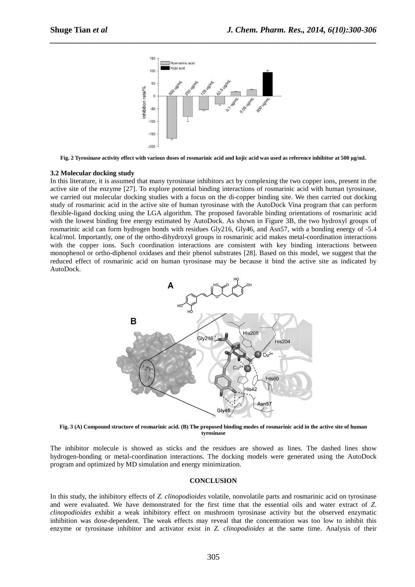

*\_\_\_\_\_\_\_\_\_\_\_\_\_\_\_\_\_\_\_\_\_\_\_\_\_\_\_\_\_\_\_\_\_\_\_\_\_\_\_\_\_\_\_\_\_\_\_\_\_\_\_\_\_\_\_\_\_\_\_\_\_\_\_\_\_\_\_\_\_\_\_\_\_\_\_\_\_\_*

**Fig. 2 Tyrosinase activity effect with various doses of rosmarinic acid and kojic acid was used as reference reference inhibitor at 500 µg/mL** 

#### **3.2 Molecular docking study**

In this literature, it is assumed that many tyrosinase inhibitors act by complexing the two copper ions, present in the active site of the enzyme [27]. To explore potential binding interactions of rosmarinic acid with human tyrosinase, we carried out molecular docking studies with a focus on the di-copper binding site. We then carried out docking study of rosmarinic acid in the active site of human tyrosinase with the AutoDock Vina program that can perform flexible-ligand docking using the LGA algorithm. The proposed favorable binding orientations of rosmarinic acid with the lowest binding free energy estimated by AutoDock. As shown in Figure 3B, the two hydroxyl groups of rosmarinic acid can form hydrogen bonds with residues Gly216, Gly46, and Asn57, with a bonding energy of -5.4 kcal/mol. Importantly, one of the ortho-dihydroxyl groups in rosmarinic acid makes metal-coordination interactions with the copper ions. Such coordination interactions are consistent with key binding interactions between monophenol or ortho-diphenol oxidases and their phenol substrates [28]. Based on this model, we suggest that the reduced effect of rosmarinic acid on human tyrosinase may be because it bind the active site as indicated by AutoDock.



**Fig. 3 (A) Compound structure of rosmarinic acid. (B) The proposed binding modes of rosmarinic acid in the active site of human tyrosinase**

The inhibitor molecule is showed as sticks and the residues are showed as lines. The dashed lines show hydrogen-bonding or metal-coordination interactions. The docking models were generated using the AutoDock program and optimized by MD simulation and energy minimization.

#### **CONCLUSION**

In this study, the inhibitory effects of Z. *clinopodioides* volatile, nonvolatile parts and rosmarinic acid on tyrosinase and were evaluated. We have demonstrated for the first time that the essential oils and water extract of Z. clinopodioides exhibit a weak inhibitory effect on mushroom tyrosinase activity but the observed enzymatic inhibition was dose-dependent. The weak effects may reveal that the concentration was too low to inhibit this enzyme or tyrosinase inhibitor and activator exist in *Z. clinopodioides* at the same time. Analysis of their